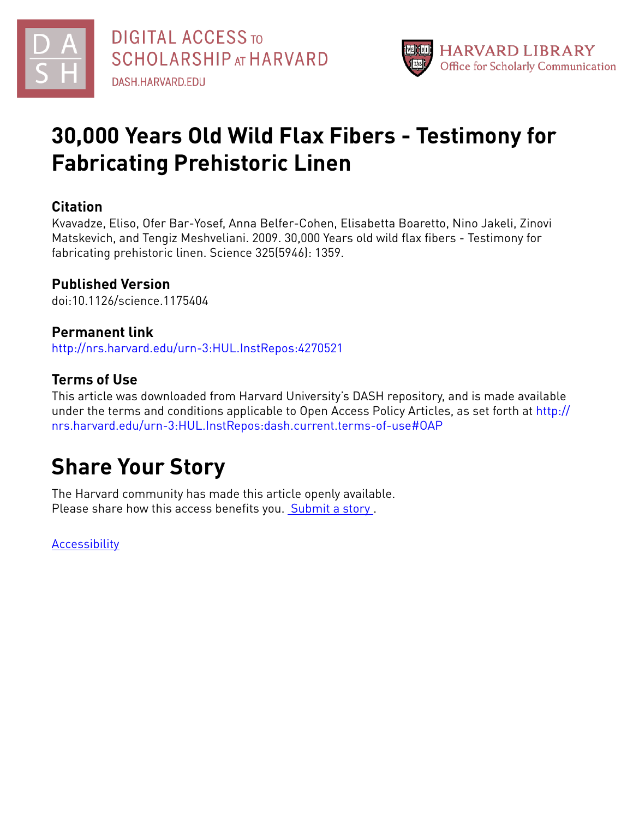



# **30,000 Years Old Wild Flax Fibers - Testimony for Fabricating Prehistoric Linen**

#### **Citation**

Kvavadze, Eliso, Ofer Bar-Yosef, Anna Belfer-Cohen, Elisabetta Boaretto, Nino Jakeli, Zinovi Matskevich, and Tengiz Meshveliani. 2009. 30,000 Years old wild flax fibers - Testimony for fabricating prehistoric linen. Science 325(5946): 1359.

### **Published Version**

doi:10.1126/science.1175404

#### **Permanent link**

<http://nrs.harvard.edu/urn-3:HUL.InstRepos:4270521>

#### **Terms of Use**

This article was downloaded from Harvard University's DASH repository, and is made available under the terms and conditions applicable to Open Access Policy Articles, as set forth at [http://](http://nrs.harvard.edu/urn-3:HUL.InstRepos:dash.current.terms-of-use#OAP) [nrs.harvard.edu/urn-3:HUL.InstRepos:dash.current.terms-of-use#OAP](http://nrs.harvard.edu/urn-3:HUL.InstRepos:dash.current.terms-of-use#OAP)

# **Share Your Story**

The Harvard community has made this article openly available. Please share how this access benefits you. [Submit](http://osc.hul.harvard.edu/dash/open-access-feedback?handle=&title=30,000%20Years%20Old%20Wild%20Flax%20Fibers%20-%20Testimony%20for%20Fabricating%20Prehistoric%20Linen&community=1/1&collection=1/2&owningCollection1/2&harvardAuthors=712cbbf979870906137c7ab8f21a891d&departmentAnthropology) a story .

**[Accessibility](https://dash.harvard.edu/pages/accessibility)**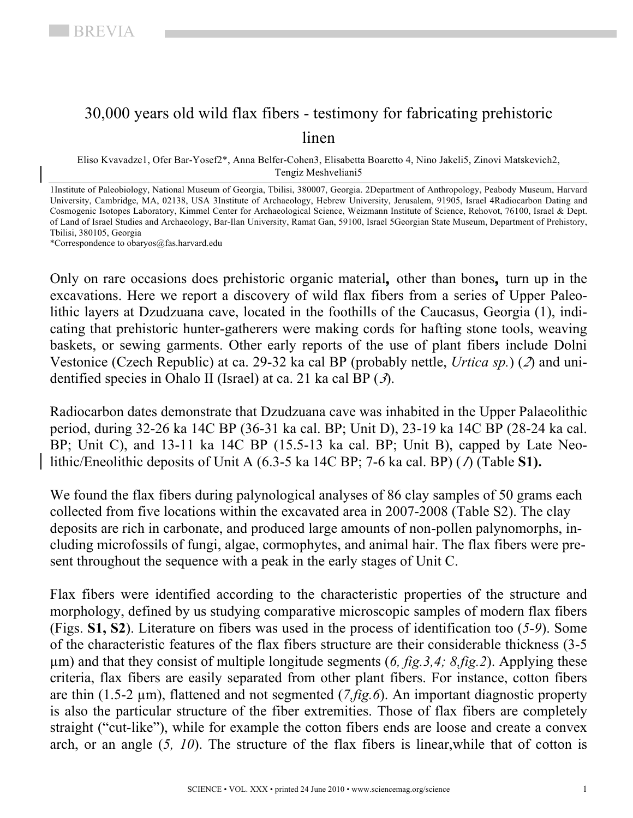### 30,000 years old wild flax fibers - testimony for fabricating prehistoric linen

Eliso Kvavadze1, Ofer Bar-Yosef2\*, Anna Belfer-Cohen3, Elisabetta Boaretto 4, Nino Jakeli5, Zinovi Matskevich2, Tengiz Meshveliani5

1Institute of Paleobiology, National Museum of Georgia, Tbilisi, 380007, Georgia. 2Department of Anthropology, Peabody Museum, Harvard University, Cambridge, MA, 02138, USA 3Institute of Archaeology, Hebrew University, Jerusalem, 91905, Israel 4Radiocarbon Dating and Cosmogenic Isotopes Laboratory, Kimmel Center for Archaeological Science, Weizmann Institute of Science, Rehovot, 76100, Israel & Dept. of Land of Israel Studies and Archaeology, Bar-Ilan University, Ramat Gan, 59100, Israel 5Georgian State Museum, Department of Prehistory, Tbilisi, 380105, Georgia

\*Correspondence to obaryos@fas.harvard.edu

Only on rare occasions does prehistoric organic material**,** other than bones**,** turn up in the excavations. Here we report a discovery of wild flax fibers from a series of Upper Paleolithic layers at Dzudzuana cave, located in the foothills of the Caucasus, Georgia (1), indicating that prehistoric hunter-gatherers were making cords for hafting stone tools, weaving baskets, or sewing garments. Other early reports of the use of plant fibers include Dolni Vestonice (Czech Republic) at ca. 29-32 ka cal BP (probably nettle, *Urtica sp.*) (*2*) and unidentified species in Ohalo II (Israel) at ca. 21 ka cal BP (*3*).

Radiocarbon dates demonstrate that Dzudzuana cave was inhabited in the Upper Palaeolithic period, during 32-26 ka 14C BP (36-31 ka cal. BP; Unit D), 23-19 ka 14C BP (28-24 ka cal. BP; Unit C), and 13-11 ka 14C BP (15.5-13 ka cal. BP; Unit B), capped by Late Neolithic/Eneolithic deposits of Unit A (6.3-5 ka 14C BP; 7-6 ka cal. BP) (*1*) (Table **S1).**

We found the flax fibers during palynological analyses of 86 clay samples of 50 grams each collected from five locations within the excavated area in 2007-2008 (Table S2). The clay deposits are rich in carbonate, and produced large amounts of non-pollen palynomorphs, including microfossils of fungi, algae, cormophytes, and animal hair. The flax fibers were present throughout the sequence with a peak in the early stages of Unit C.

Flax fibers were identified according to the characteristic properties of the structure and morphology, defined by us studying comparative microscopic samples of modern flax fibers (Figs. **S1, S2**). Literature on fibers was used in the process of identification too (*5-9*). Some of the characteristic features of the flax fibers structure are their considerable thickness (3-5 µm) and that they consist of multiple longitude segments (*6, fig.3,4; 8,fig.2*). Applying these criteria, flax fibers are easily separated from other plant fibers. For instance, cotton fibers are thin (1.5-2 µm), flattened and not segmented (*7,fig.6*). An important diagnostic property is also the particular structure of the fiber extremities. Those of flax fibers are completely straight ("cut-like"), while for example the cotton fibers ends are loose and create a convex arch, or an angle (*5, 10*). The structure of the flax fibers is linear,while that of cotton is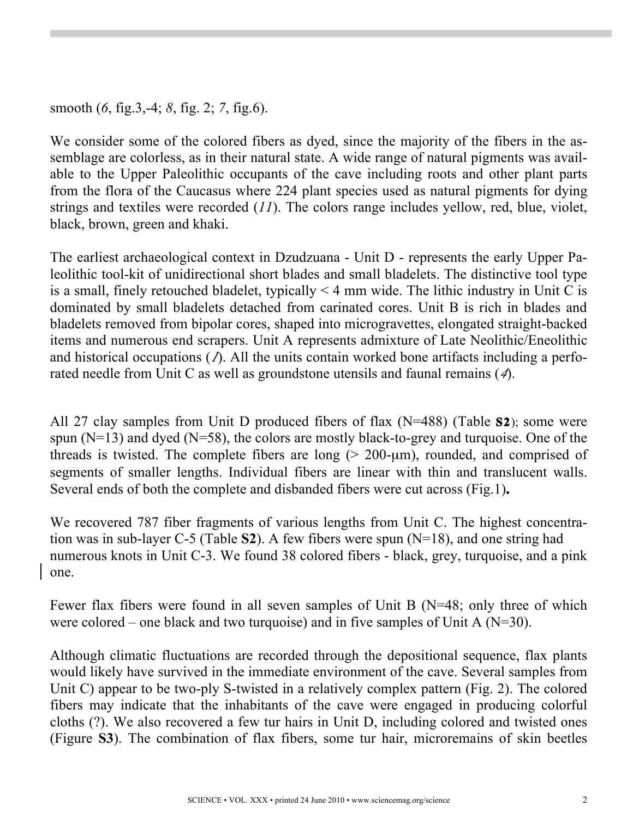smooth (*6*, fig.3,-4; *8*, fig. 2; *7*, fig.6).

We consider some of the colored fibers as dyed, since the majority of the fibers in the assemblage are colorless, as in their natural state. A wide range of natural pigments was available to the Upper Paleolithic occupants of the cave including roots and other plant parts from the flora of the Caucasus where 224 plant species used as natural pigments for dying strings and textiles were recorded (*11*). The colors range includes yellow, red, blue, violet, black, brown, green and khaki.

The earliest archaeological context in Dzudzuana - Unit D - represents the early Upper Paleolithic tool-kit of unidirectional short blades and small bladelets. The distinctive tool type is a small, finely retouched bladelet, typically  $\leq 4$  mm wide. The lithic industry in Unit C is dominated by small bladelets detached from carinated cores. Unit B is rich in blades and bladelets removed from bipolar cores, shaped into microgravettes, elongated straight-backed items and numerous end scrapers. Unit A represents admixture of Late Neolithic/Eneolithic and historical occupations (*1*). All the units contain worked bone artifacts including a perforated needle from Unit C as well as groundstone utensils and faunal remains (*4*).

All 27 clay samples from Unit D produced fibers of flax (N=488) (Table **S2**); some were spun  $(N=13)$  and dyed  $(N=58)$ , the colors are mostly black-to-grey and turquoise. One of the threads is twisted. The complete fibers are long  $(> 200$ - $\mu$ m), rounded, and comprised of segments of smaller lengths. Individual fibers are linear with thin and translucent walls. Several ends of both the complete and disbanded fibers were cut across (Fig.1)**.** 

We recovered 787 fiber fragments of various lengths from Unit C. The highest concentration was in sub-layer C-5 (Table **S2**). A few fibers were spun (N=18), and one string had numerous knots in Unit C-3. We found 38 colored fibers - black, grey, turquoise, and a pink one.

Fewer flax fibers were found in all seven samples of Unit B (N=48; only three of which were colored – one black and two turquoise) and in five samples of Unit A ( $N=30$ ).

Although climatic fluctuations are recorded through the depositional sequence, flax plants would likely have survived in the immediate environment of the cave. Several samples from Unit C) appear to be two-ply S-twisted in a relatively complex pattern (Fig. 2). The colored fibers may indicate that the inhabitants of the cave were engaged in producing colorful cloths (?). We also recovered a few tur hairs in Unit D, including colored and twisted ones (Figure **S3**). The combination of flax fibers, some tur hair, microremains of skin beetles